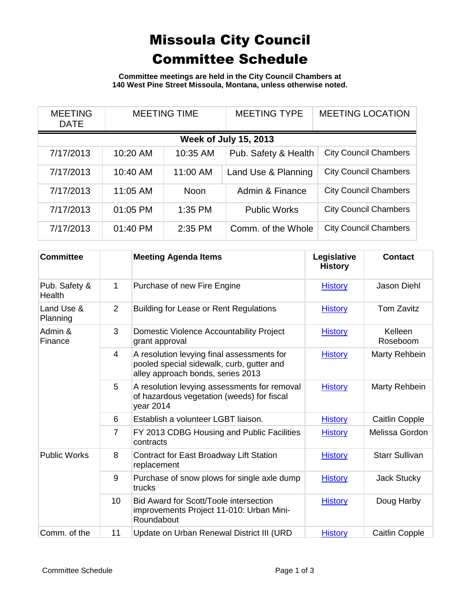## Missoula City Council Committee Schedule

**Committee meetings are held in the City Council Chambers at 140 West Pine Street Missoula, Montana, unless otherwise noted.**

| <b>MEETING</b><br><b>DATE</b> | <b>MEETING TIME</b> |             | <b>MEETING TYPE</b>  | <b>MEETING LOCATION</b>      |  |
|-------------------------------|---------------------|-------------|----------------------|------------------------------|--|
| <b>Week of July 15, 2013</b>  |                     |             |                      |                              |  |
| 7/17/2013                     | 10:20 AM            | 10:35 AM    | Pub. Safety & Health | <b>City Council Chambers</b> |  |
| 7/17/2013                     | 10:40 AM            | 11:00 AM    | Land Use & Planning  | <b>City Council Chambers</b> |  |
| 7/17/2013                     | 11:05 AM            | <b>Noon</b> | Admin & Finance      | <b>City Council Chambers</b> |  |
| 7/17/2013                     | 01:05 PM            | $1:35$ PM   | <b>Public Works</b>  | <b>City Council Chambers</b> |  |
| 7/17/2013                     | 01:40 PM            | 2:35 PM     | Comm. of the Whole   | <b>City Council Chambers</b> |  |

| <b>Committee</b>        |                | <b>Meeting Agenda Items</b>                                                                                                  | Legislative<br><b>History</b> | <b>Contact</b>        |
|-------------------------|----------------|------------------------------------------------------------------------------------------------------------------------------|-------------------------------|-----------------------|
| Pub. Safety &<br>Health | $\mathbf 1$    | Purchase of new Fire Engine                                                                                                  | <b>History</b>                | Jason Diehl           |
| Land Use &<br>Planning  | 2              | <b>Building for Lease or Rent Regulations</b>                                                                                | <b>History</b>                | <b>Tom Zavitz</b>     |
| Admin &<br>Finance      | 3              | Domestic Violence Accountability Project<br>grant approval                                                                   | <b>History</b>                | Kelleen<br>Roseboom   |
|                         | 4              | A resolution levying final assessments for<br>pooled special sidewalk, curb, gutter and<br>alley approach bonds, series 2013 | <b>History</b>                | Marty Rehbein         |
|                         | 5              | A resolution levying assessments for removal<br>of hazardous vegetation (weeds) for fiscal<br>year 2014                      | <b>History</b>                | Marty Rehbein         |
|                         | 6              | Establish a volunteer LGBT liaison.                                                                                          | <b>History</b>                | Caitlin Copple        |
|                         | $\overline{7}$ | FY 2013 CDBG Housing and Public Facilities<br>contracts                                                                      | <b>History</b>                | Melissa Gordon        |
| <b>Public Works</b>     | 8              | Contract for East Broadway Lift Station<br>replacement                                                                       | <b>History</b>                | <b>Starr Sullivan</b> |
|                         | 9              | Purchase of snow plows for single axle dump<br>trucks                                                                        | <b>History</b>                | Jack Stucky           |
|                         | 10             | Bid Award for Scott/Toole intersection<br>improvements Project 11-010: Urban Mini-<br>Roundabout                             | <b>History</b>                | Doug Harby            |
| Comm. of the            | 11             | Update on Urban Renewal District III (URD                                                                                    | <b>History</b>                | <b>Caitlin Copple</b> |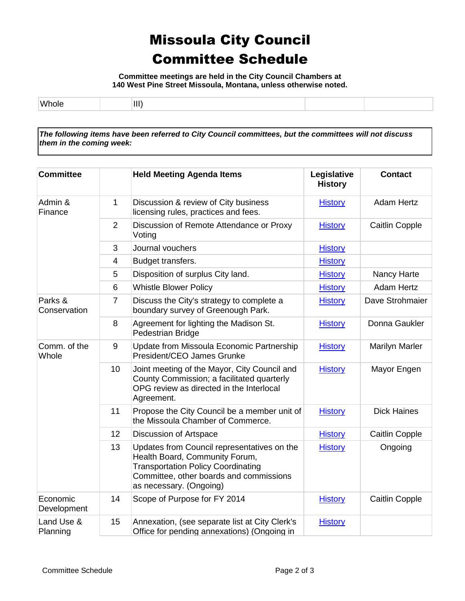## Missoula City Council Committee Schedule

**Committee meetings are held in the City Council Chambers at 140 West Pine Street Missoula, Montana, unless otherwise noted.**

| 1.11<br>__ | Ш<br> |  |  |
|------------|-------|--|--|

*The following items have been referred to City Council committees, but the committees will not discuss them in the coming week:*

| <b>Committee</b>        |                 | <b>Held Meeting Agenda Items</b>                                                                                                                                                                 | Legislative<br><b>History</b> | <b>Contact</b>        |
|-------------------------|-----------------|--------------------------------------------------------------------------------------------------------------------------------------------------------------------------------------------------|-------------------------------|-----------------------|
| Admin &<br>Finance      | $\mathbf{1}$    | Discussion & review of City business<br>licensing rules, practices and fees.                                                                                                                     | <b>History</b>                | <b>Adam Hertz</b>     |
|                         | $\overline{2}$  | Discussion of Remote Attendance or Proxy<br>Voting                                                                                                                                               | <b>History</b>                | <b>Caitlin Copple</b> |
|                         | 3               | Journal vouchers                                                                                                                                                                                 | <b>History</b>                |                       |
|                         | $\overline{4}$  | Budget transfers.                                                                                                                                                                                | <b>History</b>                |                       |
|                         | 5               | Disposition of surplus City land.                                                                                                                                                                | <b>History</b>                | Nancy Harte           |
|                         | 6               | <b>Whistle Blower Policy</b>                                                                                                                                                                     | <b>History</b>                | <b>Adam Hertz</b>     |
| Parks &<br>Conservation | $\overline{7}$  | Discuss the City's strategy to complete a<br>boundary survey of Greenough Park.                                                                                                                  | <b>History</b>                | Dave Strohmaier       |
|                         | 8               | Agreement for lighting the Madison St.<br>Pedestrian Bridge                                                                                                                                      | <b>History</b>                | Donna Gaukler         |
| Comm. of the<br>Whole   | 9               | Update from Missoula Economic Partnership<br>President/CEO James Grunke                                                                                                                          | <b>History</b>                | Marilyn Marler        |
|                         | 10              | Joint meeting of the Mayor, City Council and<br>County Commission; a facilitated quarterly<br>OPG review as directed in the Interlocal<br>Agreement.                                             | <b>History</b>                | Mayor Engen           |
|                         | 11              | Propose the City Council be a member unit of<br>the Missoula Chamber of Commerce.                                                                                                                | <b>History</b>                | <b>Dick Haines</b>    |
|                         | 12 <sup>2</sup> | Discussion of Artspace                                                                                                                                                                           | <b>History</b>                | <b>Caitlin Copple</b> |
|                         | 13              | Updates from Council representatives on the<br>Health Board, Community Forum,<br><b>Transportation Policy Coordinating</b><br>Committee, other boards and commissions<br>as necessary. (Ongoing) | <b>History</b>                | Ongoing               |
| Economic<br>Development | 14              | Scope of Purpose for FY 2014                                                                                                                                                                     | <b>History</b>                | <b>Caitlin Copple</b> |
| Land Use &<br>Planning  | 15              | Annexation, (see separate list at City Clerk's<br>Office for pending annexations) (Ongoing in                                                                                                    | <b>History</b>                |                       |